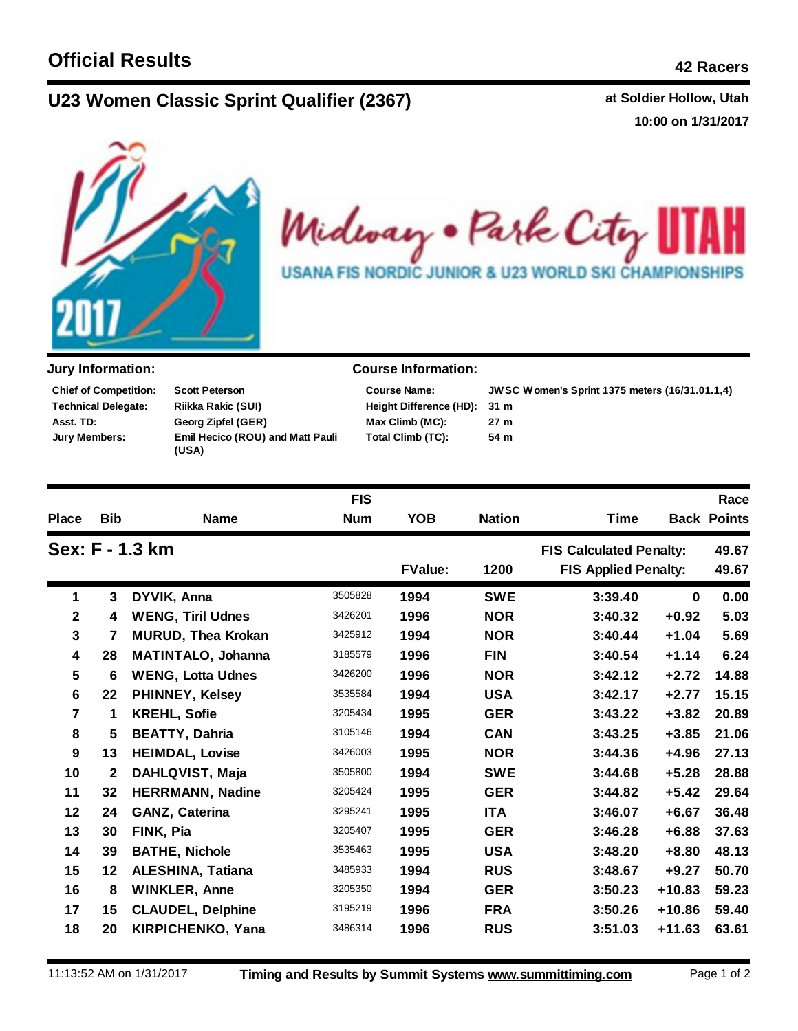## **U23 Women C at Soldier Hollow, Utah lassic Sprint Qualifier (2367)**

**10:00 on 1/31/2017**



Midway . Park City ł. USANA FIS NORDIC JUNIOR & U23 WORLD SKI CHAMPIONSHIPS

| <b>Chief of Competition:</b> | <b>Scott Peterson</b>                     |
|------------------------------|-------------------------------------------|
| Technical Delegate:          | Riikka Rakic (SUI)                        |
| Asst. TD:                    | Georg Zipfel (GER)                        |
| Jury Members:                | Emil Hecico (ROU) and Matt Pauli<br>(USA) |

## **Jury Information: Course Information:**

| <b>JWS</b> |  |  |
|------------|--|--|
| 31 m       |  |  |
| 27 m       |  |  |
| 54 m       |  |  |
|            |  |  |

**31 m JWSC Women's Sprint 1375 meters (16/31.01.1,4)**

|                         |                 |                           | <b>FIS</b>     |            |               |                                |          | Race               |
|-------------------------|-----------------|---------------------------|----------------|------------|---------------|--------------------------------|----------|--------------------|
| <b>Place</b>            | <b>Bib</b>      | <b>Name</b>               | <b>Num</b>     | <b>YOB</b> | <b>Nation</b> | Time                           |          | <b>Back Points</b> |
|                         | Sex: F - 1.3 km |                           |                |            |               | <b>FIS Calculated Penalty:</b> |          | 49.67              |
|                         |                 |                           | <b>FValue:</b> |            | 1200          | <b>FIS Applied Penalty:</b>    |          | 49.67              |
| 1                       | 3               | DYVIK, Anna               | 3505828        | 1994       | <b>SWE</b>    | 3:39.40                        | $\bf{0}$ | 0.00               |
| $\mathbf{2}$            | 4               | <b>WENG, Tiril Udnes</b>  | 3426201        | 1996       | <b>NOR</b>    | 3:40.32                        | $+0.92$  | 5.03               |
| $\overline{\mathbf{3}}$ | 7               | <b>MURUD, Thea Krokan</b> | 3425912        | 1994       | <b>NOR</b>    | 3:40.44                        | $+1.04$  | 5.69               |
| 4                       | 28              | <b>MATINTALO, Johanna</b> | 3185579        | 1996       | <b>FIN</b>    | 3:40.54                        | $+1.14$  | 6.24               |
| 5                       | 6               | <b>WENG, Lotta Udnes</b>  | 3426200        | 1996       | <b>NOR</b>    | 3:42.12                        | $+2.72$  | 14.88              |
| $6\phantom{1}$          | 22              | <b>PHINNEY, Kelsey</b>    | 3535584        | 1994       | <b>USA</b>    | 3:42.17                        | $+2.77$  | 15.15              |
| $\overline{7}$          | 1               | <b>KREHL, Sofie</b>       | 3205434        | 1995       | <b>GER</b>    | 3:43.22                        | $+3.82$  | 20.89              |
| 8                       | 5               | <b>BEATTY, Dahria</b>     | 3105146        | 1994       | <b>CAN</b>    | 3:43.25                        | $+3.85$  | 21.06              |
| 9                       | 13              | <b>HEIMDAL, Lovise</b>    | 3426003        | 1995       | <b>NOR</b>    | 3:44.36                        | $+4.96$  | 27.13              |
| 10                      | $\mathbf{2}$    | <b>DAHLQVIST, Maja</b>    | 3505800        | 1994       | <b>SWE</b>    | 3:44.68                        | $+5.28$  | 28.88              |
| 11                      | 32              | <b>HERRMANN, Nadine</b>   | 3205424        | 1995       | <b>GER</b>    | 3:44.82                        | $+5.42$  | 29.64              |
| 12                      | 24              | <b>GANZ, Caterina</b>     | 3295241        | 1995       | <b>ITA</b>    | 3:46.07                        | $+6.67$  | 36.48              |
| 13                      | 30              | FINK, Pia                 | 3205407        | 1995       | <b>GER</b>    | 3:46.28                        | $+6.88$  | 37.63              |
| 14                      | 39              | <b>BATHE, Nichole</b>     | 3535463        | 1995       | <b>USA</b>    | 3:48.20                        | $+8.80$  | 48.13              |
| 15                      | 12              | <b>ALESHINA, Tatiana</b>  | 3485933        | 1994       | <b>RUS</b>    | 3:48.67                        | $+9.27$  | 50.70              |
| 16                      | 8               | <b>WINKLER, Anne</b>      | 3205350        | 1994       | <b>GER</b>    | 3:50.23                        | $+10.83$ | 59.23              |
| 17                      | 15              | <b>CLAUDEL, Delphine</b>  | 3195219        | 1996       | <b>FRA</b>    | 3:50.26                        | $+10.86$ | 59.40              |
| 18                      | 20              | KIRPICHENKO, Yana         | 3486314        | 1996       | <b>RUS</b>    | 3:51.03                        | $+11.63$ | 63.61              |